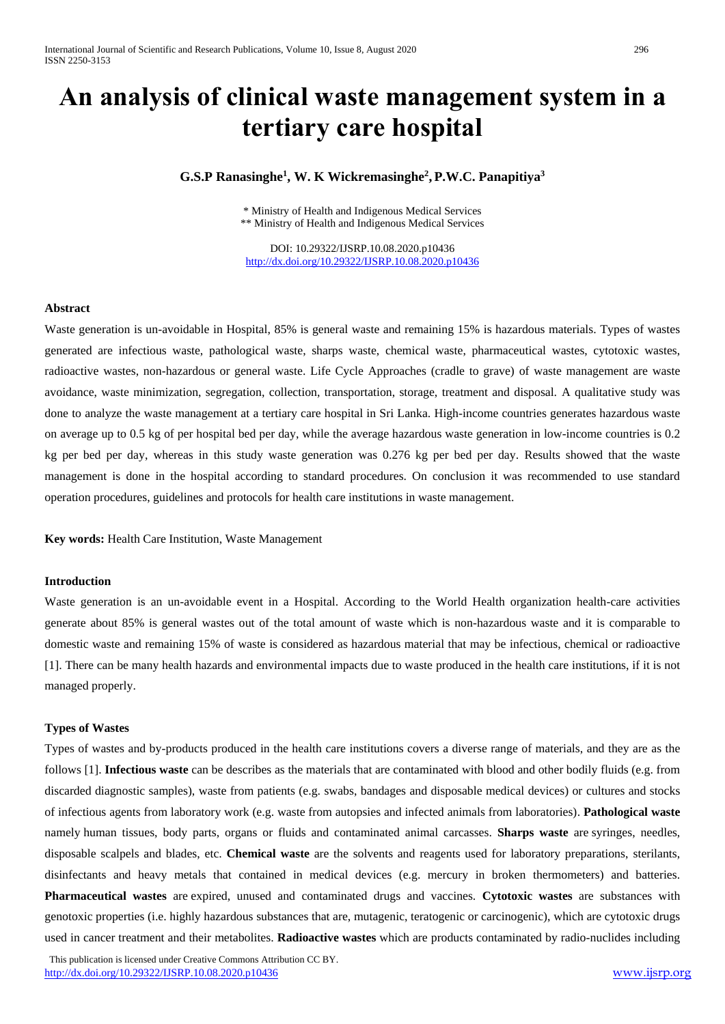# **An analysis of clinical waste management system in a tertiary care hospital**

## **G.S.P Ranasinghe<sup>1</sup> , W. K Wickremasinghe<sup>2</sup> , P.W.C. Panapitiya<sup>3</sup>**

\* Ministry of Health and Indigenous Medical Services \*\* Ministry of Health and Indigenous Medical Services

DOI: 10.29322/IJSRP.10.08.2020.p10436 <http://dx.doi.org/10.29322/IJSRP.10.08.2020.p10436>

#### **Abstract**

Waste generation is un-avoidable in Hospital, 85% is general waste and remaining 15% is hazardous materials. Types of wastes generated are infectious waste, pathological waste, sharps waste, chemical waste, pharmaceutical wastes, cytotoxic wastes, radioactive wastes, non-hazardous or general waste. Life Cycle Approaches (cradle to grave) of waste management are waste avoidance, waste minimization, segregation, collection, transportation, storage, treatment and disposal. A qualitative study was done to analyze the waste management at a tertiary care hospital in Sri Lanka. High-income countries generates hazardous waste on average up to 0.5 kg of per hospital bed per day, while the average hazardous waste generation in low-income countries is 0.2 kg per bed per day, whereas in this study waste generation was 0.276 kg per bed per day. Results showed that the waste management is done in the hospital according to standard procedures. On conclusion it was recommended to use standard operation procedures, guidelines and protocols for health care institutions in waste management.

**Key words:** Health Care Institution, Waste Management

#### **Introduction**

Waste generation is an un-avoidable event in a Hospital. According to the World Health organization health-care activities generate about 85% is general wastes out of the total amount of waste which is non-hazardous waste and it is comparable to domestic waste and remaining 15% of waste is considered as hazardous material that may be infectious, chemical or radioactive [1]. There can be many health hazards and environmental impacts due to waste produced in the health care institutions, if it is not managed properly.

#### **Types of Wastes**

Types of wastes and by-products produced in the health care institutions covers a diverse range of materials, and they are as the follows [1]. **Infectious waste** can be describes as the materials that are contaminated with blood and other bodily fluids (e.g. from discarded diagnostic samples), waste from patients (e.g. swabs, bandages and disposable medical devices) or cultures and stocks of infectious agents from laboratory work (e.g. waste from autopsies and infected animals from laboratories). **Pathological waste**  namely human tissues, body parts, organs or fluids and contaminated animal carcasses. **Sharps waste** are syringes, needles, disposable scalpels and blades, etc. **Chemical waste** are the solvents and reagents used for laboratory preparations, sterilants, disinfectants and heavy metals that contained in medical devices (e.g. mercury in broken thermometers) and batteries. **Pharmaceutical wastes** are expired, unused and contaminated drugs and vaccines. **Cytotoxic wastes** are substances with genotoxic properties (i.e. highly hazardous substances that are, mutagenic, teratogenic or carcinogenic), which are cytotoxic drugs used in cancer treatment and their metabolites. **Radioactive wastes** which are products contaminated by radio-nuclides including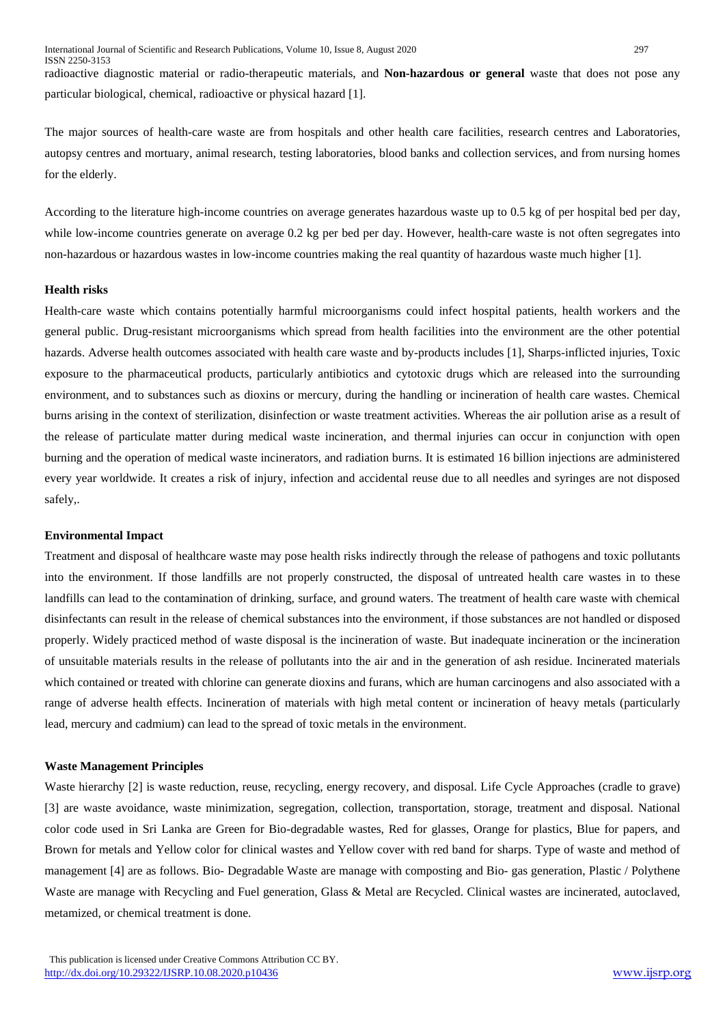radioactive diagnostic material or radio-therapeutic materials, and **Non-hazardous or general** waste that does not pose any particular biological, chemical, radioactive or physical hazard [1].

The major sources of health-care waste are from hospitals and other health care facilities, research centres and Laboratories, autopsy centres and mortuary, animal research, testing laboratories, blood banks and collection services, and from nursing homes for the elderly.

According to the literature high-income countries on average generates hazardous waste up to 0.5 kg of per hospital bed per day, while low-income countries generate on average 0.2 kg per bed per day. However, health-care waste is not often segregates into non-hazardous or hazardous wastes in low-income countries making the real quantity of hazardous waste much higher [1].

#### **Health risks**

Health-care waste which contains potentially harmful microorganisms could infect hospital patients, health workers and the general public. Drug-resistant microorganisms which spread from health facilities into the environment are the other potential hazards. Adverse health outcomes associated with health care waste and by-products includes [1], Sharps-inflicted injuries, Toxic exposure to the pharmaceutical products, particularly antibiotics and cytotoxic drugs which are released into the surrounding environment, and to substances such as dioxins or mercury, during the handling or incineration of health care wastes. Chemical burns arising in the context of sterilization, disinfection or waste treatment activities. Whereas the air pollution arise as a result of the release of particulate matter during medical waste incineration, and thermal injuries can occur in conjunction with open burning and the operation of medical waste incinerators, and radiation burns. It is estimated 16 billion injections are administered every year worldwide. It creates a risk of injury, infection and accidental reuse due to all needles and syringes are not disposed safely,.

#### **Environmental Impact**

Treatment and disposal of healthcare waste may pose health risks indirectly through the release of pathogens and toxic pollutants into the environment. If those landfills are not properly constructed, the disposal of untreated health care wastes in to these landfills can lead to the contamination of drinking, surface, and ground waters. The treatment of health care waste with chemical disinfectants can result in the release of chemical substances into the environment, if those substances are not handled or disposed properly. Widely practiced method of waste disposal is the incineration of waste. But inadequate incineration or the incineration of unsuitable materials results in the release of pollutants into the air and in the generation of ash residue. Incinerated materials which contained or treated with chlorine can generate dioxins and furans, which are human carcinogens and also associated with a range of adverse health effects. Incineration of materials with high metal content or incineration of heavy metals (particularly lead, mercury and cadmium) can lead to the spread of toxic metals in the environment.

#### **Waste Management Principles**

Waste hierarchy [2] is waste reduction, reuse, recycling, energy recovery, and disposal. Life Cycle Approaches (cradle to grave) [3] are waste avoidance, waste minimization, segregation, collection, transportation, storage, treatment and disposal. National color code used in Sri Lanka are Green for Bio-degradable wastes, Red for glasses, Orange for plastics, Blue for papers, and Brown for metals and Yellow color for clinical wastes and Yellow cover with red band for sharps. Type of waste and method of management [4] are as follows. Bio- Degradable Waste are manage with composting and Bio- gas generation, Plastic / Polythene Waste are manage with Recycling and Fuel generation, Glass & Metal are Recycled. Clinical wastes are incinerated, autoclaved, metamized, or chemical treatment is done.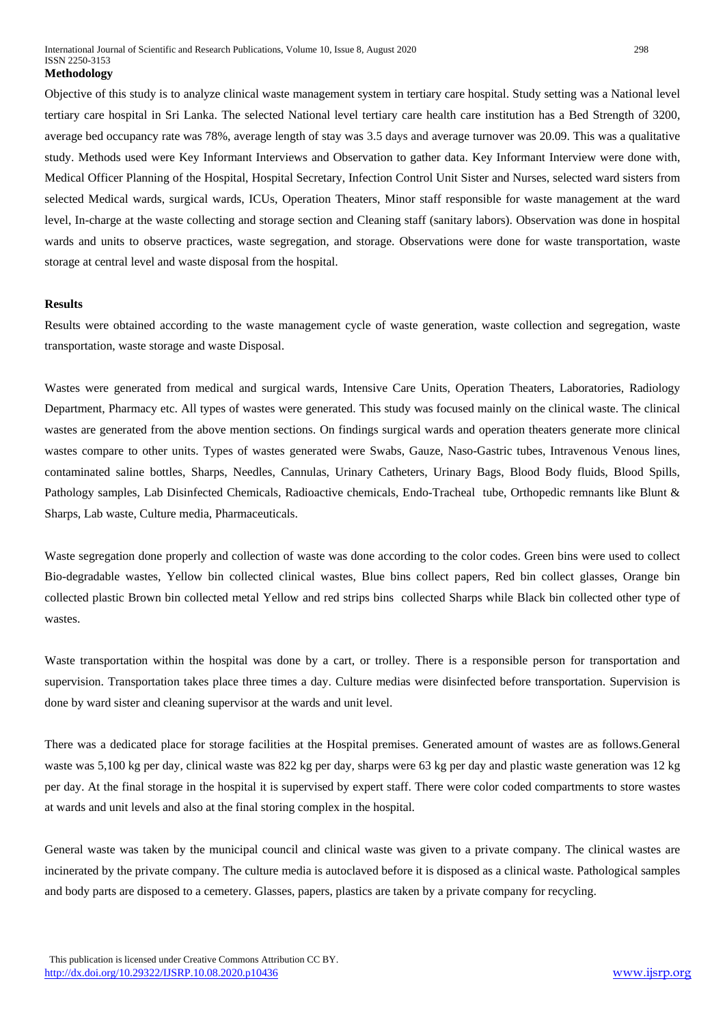Objective of this study is to analyze clinical waste management system in tertiary care hospital. Study setting was a National level tertiary care hospital in Sri Lanka. The selected National level tertiary care health care institution has a Bed Strength of 3200, average bed occupancy rate was 78%, average length of stay was 3.5 days and average turnover was 20.09. This was a qualitative study. Methods used were Key Informant Interviews and Observation to gather data. Key Informant Interview were done with, Medical Officer Planning of the Hospital, Hospital Secretary, Infection Control Unit Sister and Nurses, selected ward sisters from selected Medical wards, surgical wards, ICUs, Operation Theaters, Minor staff responsible for waste management at the ward level, In-charge at the waste collecting and storage section and Cleaning staff (sanitary labors). Observation was done in hospital wards and units to observe practices, waste segregation, and storage. Observations were done for waste transportation, waste storage at central level and waste disposal from the hospital.

#### **Results**

Results were obtained according to the waste management cycle of waste generation, waste collection and segregation, waste transportation, waste storage and waste Disposal.

Wastes were generated from medical and surgical wards, Intensive Care Units, Operation Theaters, Laboratories, Radiology Department, Pharmacy etc. All types of wastes were generated. This study was focused mainly on the clinical waste. The clinical wastes are generated from the above mention sections. On findings surgical wards and operation theaters generate more clinical wastes compare to other units. Types of wastes generated were Swabs, Gauze, Naso-Gastric tubes, Intravenous Venous lines, contaminated saline bottles, Sharps, Needles, Cannulas, Urinary Catheters, Urinary Bags, Blood Body fluids, Blood Spills, Pathology samples, Lab Disinfected Chemicals, Radioactive chemicals, Endo-Tracheal tube, Orthopedic remnants like Blunt & Sharps, Lab waste, Culture media, Pharmaceuticals.

Waste segregation done properly and collection of waste was done according to the color codes. Green bins were used to collect Bio-degradable wastes, Yellow bin collected clinical wastes, Blue bins collect papers, Red bin collect glasses, Orange bin collected plastic Brown bin collected metal Yellow and red strips bins collected Sharps while Black bin collected other type of wastes.

Waste transportation within the hospital was done by a cart, or trolley. There is a responsible person for transportation and supervision. Transportation takes place three times a day. Culture medias were disinfected before transportation. Supervision is done by ward sister and cleaning supervisor at the wards and unit level.

There was a dedicated place for storage facilities at the Hospital premises. Generated amount of wastes are as follows.General waste was 5,100 kg per day, clinical waste was 822 kg per day, sharps were 63 kg per day and plastic waste generation was 12 kg per day. At the final storage in the hospital it is supervised by expert staff. There were color coded compartments to store wastes at wards and unit levels and also at the final storing complex in the hospital.

General waste was taken by the municipal council and clinical waste was given to a private company. The clinical wastes are incinerated by the private company. The culture media is autoclaved before it is disposed as a clinical waste. Pathological samples and body parts are disposed to a cemetery. Glasses, papers, plastics are taken by a private company for recycling.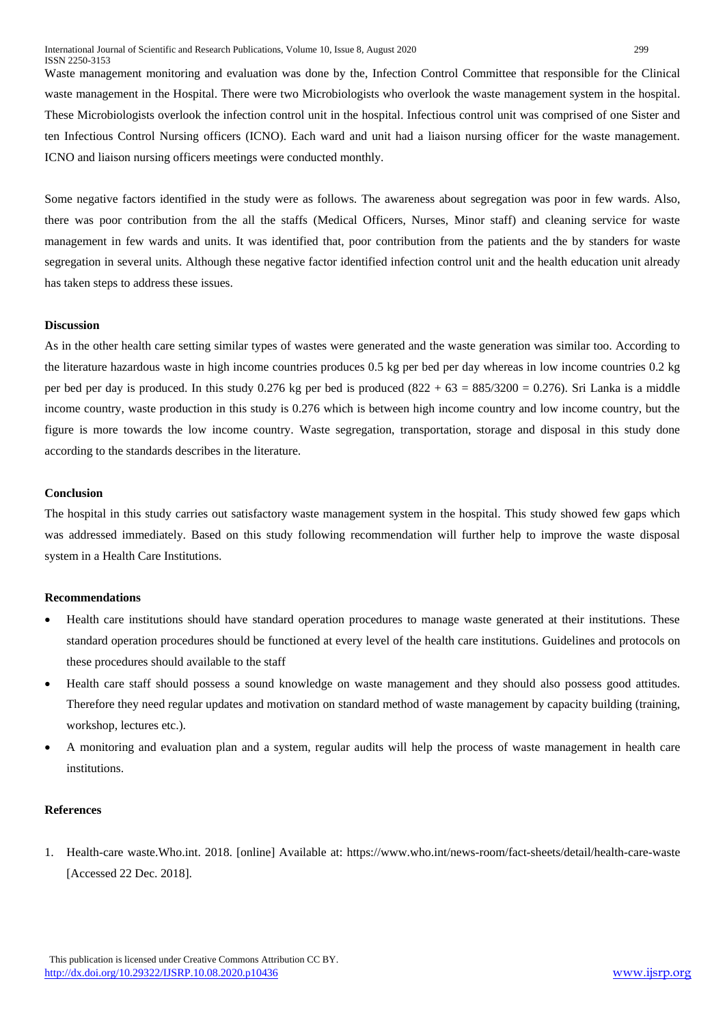Waste management monitoring and evaluation was done by the, Infection Control Committee that responsible for the Clinical waste management in the Hospital. There were two Microbiologists who overlook the waste management system in the hospital. These Microbiologists overlook the infection control unit in the hospital. Infectious control unit was comprised of one Sister and ten Infectious Control Nursing officers (ICNO). Each ward and unit had a liaison nursing officer for the waste management. ICNO and liaison nursing officers meetings were conducted monthly.

Some negative factors identified in the study were as follows. The awareness about segregation was poor in few wards. Also, there was poor contribution from the all the staffs (Medical Officers, Nurses, Minor staff) and cleaning service for waste management in few wards and units. It was identified that, poor contribution from the patients and the by standers for waste segregation in several units. Although these negative factor identified infection control unit and the health education unit already has taken steps to address these issues.

#### **Discussion**

As in the other health care setting similar types of wastes were generated and the waste generation was similar too. According to the literature hazardous waste in high income countries produces 0.5 kg per bed per day whereas in low income countries 0.2 kg per bed per day is produced. In this study 0.276 kg per bed is produced  $(822 + 63 = 885/3200 = 0.276)$ . Sri Lanka is a middle income country, waste production in this study is 0.276 which is between high income country and low income country, but the figure is more towards the low income country. Waste segregation, transportation, storage and disposal in this study done according to the standards describes in the literature.

#### **Conclusion**

The hospital in this study carries out satisfactory waste management system in the hospital. This study showed few gaps which was addressed immediately. Based on this study following recommendation will further help to improve the waste disposal system in a Health Care Institutions.

#### **Recommendations**

- Health care institutions should have standard operation procedures to manage waste generated at their institutions. These standard operation procedures should be functioned at every level of the health care institutions. Guidelines and protocols on these procedures should available to the staff
- Health care staff should possess a sound knowledge on waste management and they should also possess good attitudes. Therefore they need regular updates and motivation on standard method of waste management by capacity building (training, workshop, lectures etc.).
- A monitoring and evaluation plan and a system, regular audits will help the process of waste management in health care institutions.

#### **References**

1. Health-care waste.Who.int. 2018. [online] Available at: https://www.who.int/news-room/fact-sheets/detail/health-care-waste [Accessed 22 Dec. 2018].